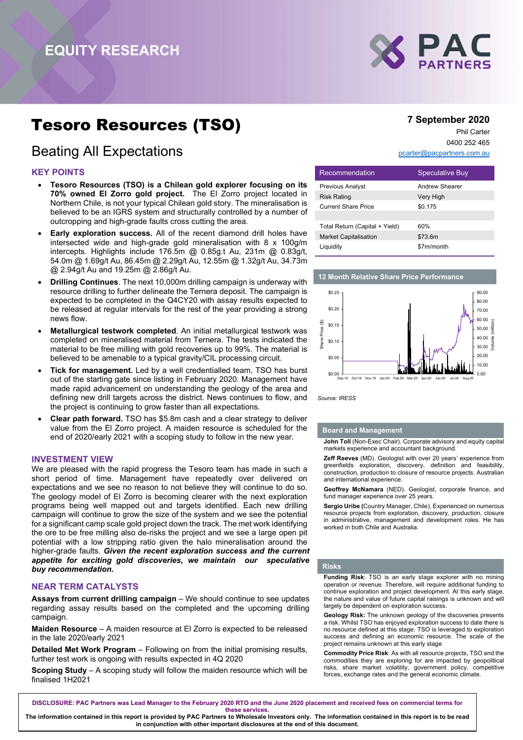

# Tesoro Resources (TSO)

# Beating All Expectations

# KEY POINTS

- Tesoro Resources (TSO) is a Chilean gold explorer focusing on its 70% owned El Zorro gold project. The El Zorro project located in Northern Chile, is not your typical Chilean gold story. The mineralisation is believed to be an IGRS system and structurally controlled by a number of outcropping and high-grade faults cross cutting the area.
- Early exploration success. All of the recent diamond drill holes have intersected wide and high-grade gold mineralisation with 8 x 100g/m intercepts. Highlights include 176.5m @ 0.85g.t Au, 231m @ 0.83g/t, 54.0m @ 1.69g/t Au, 86.45m @ 2.29g/t Au, 12.55m @ 1.32g/t Au, 34.73m @ 2.94g/t Au and 19.25m @ 2.86g/t Au.
- Drilling Continues. The next 10,000m drilling campaign is underway with resource drilling to further delineate the Ternera deposit. The campaign is expected to be completed in the Q4CY20 with assay results expected to be released at regular intervals for the rest of the year providing a strong news flow.
- Metallurgical testwork completed. An initial metallurgical testwork was completed on mineralised material from Ternera. The tests indicated the material to be free milling with gold recoveries up to 99%. The material is believed to be amenable to a typical gravity/CIL processing circuit.
- Tick for management. Led by a well credentialled team, TSO has burst out of the starting gate since listing in February 2020. Management have made rapid advancement on understanding the geology of the area and defining new drill targets across the district. News continues to flow, and the project is continuing to grow faster than all expectations.
- Clear path forward. TSO has \$5.8m cash and a clear strategy to deliver value from the El Zorro project. A maiden resource is scheduled for the end of 2020/early 2021 with a scoping study to follow in the new year.

#### INVESTMENT VIEW

We are pleased with the rapid progress the Tesoro team has made in such a short period of time. Management have repeatedly over delivered on expectations and we see no reason to not believe they will continue to do so. The geology model of El Zorro is becoming clearer with the next exploration programs being well mapped out and targets identified. Each new drilling campaign will continue to grow the size of the system and we see the potential for a significant camp scale gold project down the track. The met work identifying the ore to be free milling also de-risks the project and we see a large open pit potential with a low stripping ratio given the halo mineralisation around the higher-grade faults. Given the recent exploration success and the current appetite for exciting gold discoveries, we maintain our speculative buy recommendation.

#### NEAR TERM CATALYSTS

Assays from current drilling campaign – We should continue to see updates regarding assay results based on the completed and the upcoming drilling campaign.

Maiden Resource – A maiden resource at El Zorro is expected to be released in the late 2020/early 2021

Detailed Met Work Program – Following on from the initial promising results, further test work is ongoing with results expected in 4Q 2020

Scoping Study – A scoping study will follow the maiden resource which will be finalised 1H2021

# 7 September 2020

Phil Carter 0400 252 465

pcarter@pacpartners.com.au

| Recommendation                 | <b>Speculative Buy</b> |
|--------------------------------|------------------------|
| <b>Previous Analyst</b>        | Andrew Shearer         |
| <b>Risk Rating</b>             | Very High              |
| <b>Current Share Price</b>     | \$0.175                |
|                                |                        |
| Total Return (Capital + Yield) | 60%                    |
| <b>Market Capitalisation</b>   | \$73.6m                |
| Liquidity                      | \$7m/month             |

#### 12 Month Relative Share Price Performance



#### Board and Management

John Toll (Non-Exec Chair). Corporate advisory and equity capital markets experience and accountant background.

Zeff Reeves (MD). Geologist with over 20 years' experience from greenfields exploration, discovery, definition and feasibility, construction, production to closure of resource projects. Australian and international experience.

Geoffrey McNamara (NED). Geologist, corporate finance, and fund manager experience over 25 years.

Sergio Uribe (Country Manager, Chile). Experienced on numerous resource projects from exploration, discovery, production, closure in administrative, management and development roles. He has worked in both Chile and Australia.

#### Risks

Funding Risk: TSO is an early stage explorer with no mining operation or revenue. Therefore, will require additional funding to continue exploration and project development. At this early stage, the nature and value of future capital raisings is unknown and will largely be dependent on exploration success.

Geology Risk: The unknown geology of the discoveries presents a risk. Whilst TSO has enjoyed exploration success to date there is no resource defined at this stage. TSO is leveraged to exploration success and defining an economic resource. The scale of the project remains unknown at this early stage

Commodity Price Risk: As with all resource projects, TSO and the commodities they are exploring for are impacted by geopolitical risks, share market volatility, government policy, competitive forces, exchange rates and the general economic climate.

DISCLOSURE: PAC Partners was Lead Manager to the February 2020 RTO and the June 2020 placement and received fees on commercial terms for

these services.

The information contained in this report is provided by PAC Partners to Wholesale Investors only. The information contained in this report is to be read in conjunction with other important disclosures at the end of this document.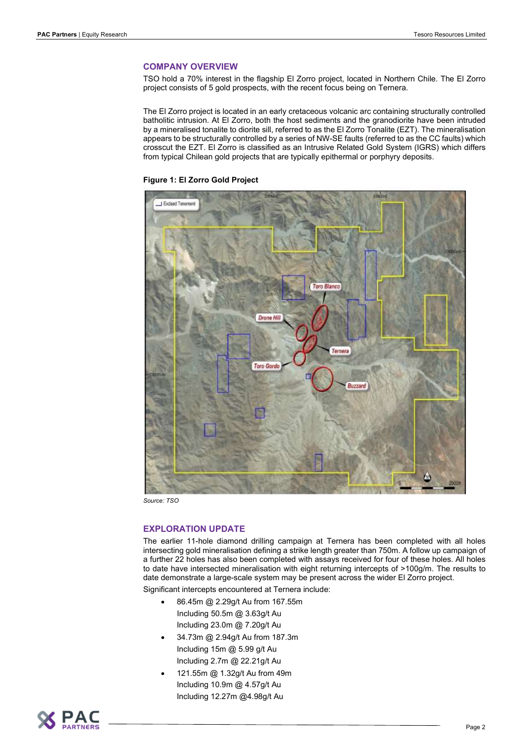## COMPANY OVERVIEW

TSO hold a 70% interest in the flagship El Zorro project, located in Northern Chile. The El Zorro project consists of 5 gold prospects, with the recent focus being on Ternera.

The El Zorro project is located in an early cretaceous volcanic arc containing structurally controlled batholitic intrusion. At El Zorro, both the host sediments and the granodiorite have been intruded by a mineralised tonalite to diorite sill, referred to as the El Zorro Tonalite (EZT). The mineralisation appears to be structurally controlled by a series of NW-SE faults (referred to as the CC faults) which crosscut the EZT. El Zorro is classified as an Intrusive Related Gold System (IGRS) which differs from typical Chilean gold projects that are typically epithermal or porphyry deposits.





Source: TSO

# EXPLORATION UPDATE

The earlier 11-hole diamond drilling campaign at Ternera has been completed with all holes intersecting gold mineralisation defining a strike length greater than 750m. A follow up campaign of a further 22 holes has also been completed with assays received for four of these holes. All holes to date have intersected mineralisation with eight returning intercepts of >100g/m. The results to date demonstrate a large-scale system may be present across the wider El Zorro project.

Significant intercepts encountered at Ternera include:

- 86.45m @ 2.29g/t Au from 167.55m Including 50.5m @ 3.63g/t Au Including 23.0m @ 7.20g/t Au
- 34.73m @ 2.94g/t Au from 187.3m Including 15m @ 5.99 g/t Au Including 2.7m @ 22.21g/t Au
- 121.55m @ 1.32g/t Au from 49m Including 10.9m @ 4.57g/t Au Including 12.27m @4.98g/t Au

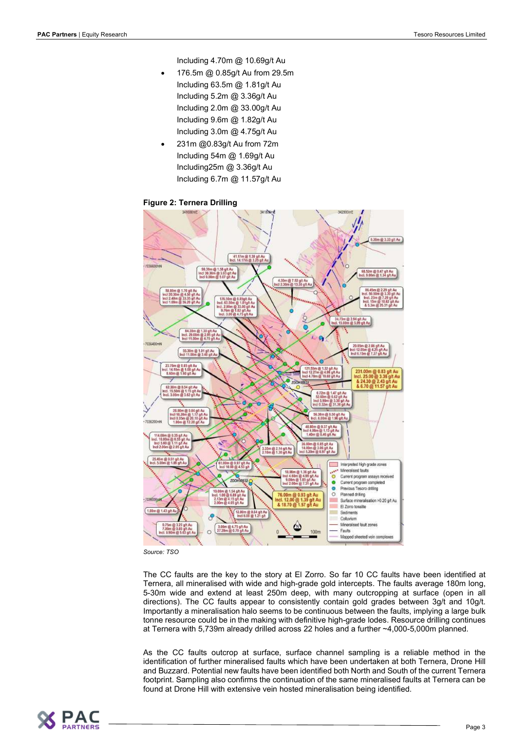Including 4.70m @ 10.69g/t Au

- 176.5m @ 0.85g/t Au from 29.5m Including 63.5m @ 1.81g/t Au Including 5.2m @ 3.36g/t Au Including 2.0m @ 33.00g/t Au Including 9.6m @ 1.82g/t Au Including 3.0m @ 4.75g/t Au
- 231m @0.83g/t Au from 72m Including 54m @ 1.69g/t Au Including25m @ 3.36g/t Au Including 6.7m @ 11.57g/t Au

# Figure 2: Ternera Drilling



Source: TSO

The CC faults are the key to the story at El Zorro. So far 10 CC faults have been identified at Ternera, all mineralised with wide and high-grade gold intercepts. The faults average 180m long, 5-30m wide and extend at least 250m deep, with many outcropping at surface (open in all directions). The CC faults appear to consistently contain gold grades between 3g/t and 10g/t. Importantly a mineralisation halo seems to be continuous between the faults, implying a large bulk tonne resource could be in the making with definitive high-grade lodes. Resource drilling continues at Ternera with 5,739m already drilled across 22 holes and a further ~4,000-5,000m planned.

As the CC faults outcrop at surface, surface channel sampling is a reliable method in the identification of further mineralised faults which have been undertaken at both Ternera, Drone Hill and Buzzard. Potential new faults have been identified both North and South of the current Ternera footprint. Sampling also confirms the continuation of the same mineralised faults at Ternera can be found at Drone Hill with extensive vein hosted mineralisation being identified.

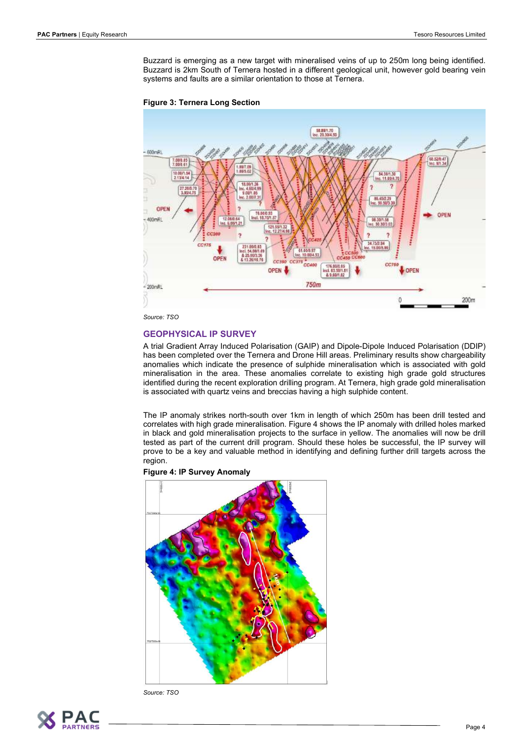Buzzard is emerging as a new target with mineralised veins of up to 250m long being identified. Buzzard is 2km South of Ternera hosted in a different geological unit, however gold bearing vein systems and faults are a similar orientation to those at Ternera.





Source: TSO

# GEOPHYSICAL IP SURVEY

A trial Gradient Array Induced Polarisation (GAIP) and Dipole-Dipole Induced Polarisation (DDIP) has been completed over the Ternera and Drone Hill areas. Preliminary results show chargeability anomalies which indicate the presence of sulphide mineralisation which is associated with gold mineralisation in the area. These anomalies correlate to existing high grade gold structures identified during the recent exploration drilling program. At Ternera, high grade gold mineralisation is associated with quartz veins and breccias having a high sulphide content.

The IP anomaly strikes north-south over 1km in length of which 250m has been drill tested and correlates with high grade mineralisation. Figure 4 shows the IP anomaly with drilled holes marked in black and gold mineralisation projects to the surface in yellow. The anomalies will now be drill tested as part of the current drill program. Should these holes be successful, the IP survey will prove to be a key and valuable method in identifying and defining further drill targets across the region.



Figure 4: IP Survey Anomaly

Source: TSO

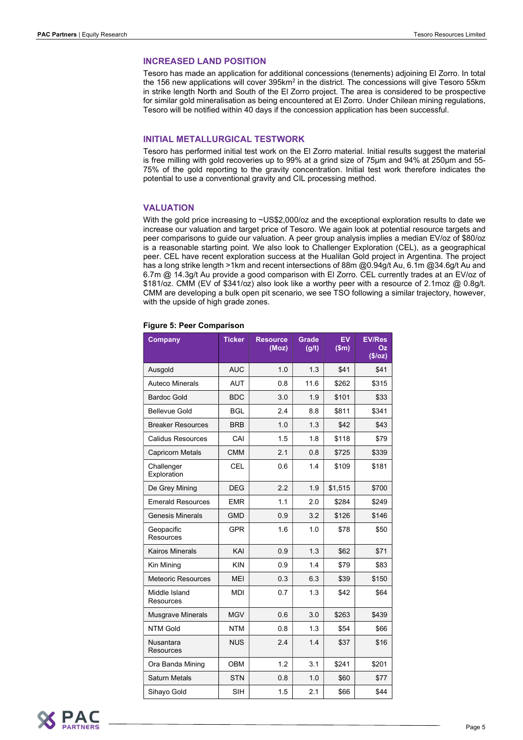#### INCREASED LAND POSITION

Tesoro has made an application for additional concessions (tenements) adjoining El Zorro. In total the 156 new applications will cover 395km<sup>2</sup> in the district. The concessions will give Tesoro 55km in strike length North and South of the El Zorro project. The area is considered to be prospective for similar gold mineralisation as being encountered at El Zorro. Under Chilean mining regulations, Tesoro will be notified within 40 days if the concession application has been successful.

#### INITIAL METALLURGICAL TESTWORK

Tesoro has performed initial test work on the El Zorro material. Initial results suggest the material is free milling with gold recoveries up to 99% at a grind size of 75µm and 94% at 250µm and 55- 75% of the gold reporting to the gravity concentration. Initial test work therefore indicates the potential to use a conventional gravity and CIL processing method.

#### VALUATION

With the gold price increasing to ~US\$2,000/oz and the exceptional exploration results to date we increase our valuation and target price of Tesoro. We again look at potential resource targets and peer comparisons to guide our valuation. A peer group analysis implies a median EV/oz of \$80/oz is a reasonable starting point. We also look to Challenger Exploration (CEL), as a geographical peer. CEL have recent exploration success at the Hualilan Gold project in Argentina. The project has a long strike length >1km and recent intersections of 88m @0.94g/t Au, 6.1m @34.6g/t Au and 6.7m @ 14.3g/t Au provide a good comparison with El Zorro. CEL currently trades at an EV/oz of \$181/oz. CMM (EV of \$341/oz) also look like a worthy peer with a resource of 2.1moz @ 0.8g/t. CMM are developing a bulk open pit scenario, we see TSO following a similar trajectory, however, with the upside of high grade zones.

|  |  |  |  | <b>Figure 5: Peer Comparison</b> |
|--|--|--|--|----------------------------------|
|--|--|--|--|----------------------------------|

| <b>Company</b>                       | <b>Ticker</b> | <b>Resource</b><br>(Moz) | <b>Grade</b><br>(g/t) | EV<br>\$m\$ | <b>EV/Res</b><br>Οz<br>(\$/oz) |
|--------------------------------------|---------------|--------------------------|-----------------------|-------------|--------------------------------|
| Ausgold                              | <b>AUC</b>    | 1.0                      | 1.3                   | \$41        | \$41                           |
| <b>Auteco Minerals</b>               | <b>AUT</b>    | 0.8                      | 11.6                  | \$262       | \$315                          |
| <b>Bardoc Gold</b>                   | <b>BDC</b>    | 3.0                      | 1.9                   | \$101       | \$33                           |
| <b>Bellevue Gold</b>                 | <b>BGL</b>    | 2.4                      | 8.8                   | \$811       | \$341                          |
| <b>Breaker Resources</b>             | <b>BRB</b>    | 1.0                      | 1.3                   | \$42        | \$43                           |
| <b>Calidus Resources</b>             | CAI           | 1.5                      | 1.8                   | \$118       | \$79                           |
| <b>Capricorn Metals</b>              | <b>CMM</b>    | 2.1                      | 0.8                   | \$725       | \$339                          |
| Challenger<br>Exploration            | <b>CEL</b>    | 0.6                      | 1.4                   | \$109       | \$181                          |
| De Grey Mining                       | <b>DEG</b>    | 2.2                      | 1.9                   | \$1,515     | \$700                          |
| <b>Emerald Resources</b>             | <b>EMR</b>    | 1.1                      | 2.0                   | \$284       | \$249                          |
| <b>Genesis Minerals</b>              | <b>GMD</b>    | 0.9                      | 3.2                   | \$126       | \$146                          |
| Geopacific<br><b>Resources</b>       | <b>GPR</b>    | 1.6                      | 1.0                   | \$78        | \$50                           |
| <b>Kairos Minerals</b>               | KAI           | 0.9                      | 1.3                   | \$62        | \$71                           |
| Kin Mining                           | <b>KIN</b>    | 0.9                      | 1.4                   | \$79        | \$83                           |
| <b>Meteoric Resources</b>            | <b>MEI</b>    | 0.3                      | 6.3                   | \$39        | \$150                          |
| Middle Island<br>Resources           | MDI           | 0.7                      | 1.3                   | \$42        | \$64                           |
| <b>Musgrave Minerals</b>             | <b>MGV</b>    | 0.6                      | 3.0                   | \$263       | \$439                          |
| <b>NTM Gold</b>                      | <b>NTM</b>    | 0.8                      | 1.3                   | \$54        | \$66                           |
| <b>Nusantara</b><br><b>Resources</b> | <b>NUS</b>    | 2.4                      | 1.4                   | \$37        | \$16                           |
| Ora Banda Mining                     | <b>OBM</b>    | 1.2                      | 3.1                   | \$241       | \$201                          |
| <b>Saturn Metals</b>                 | <b>STN</b>    | 0.8                      | 1.0                   | \$60        | \$77                           |
| Sihayo Gold                          | <b>SIH</b>    | 1.5                      | 2.1                   | \$66        | \$44                           |

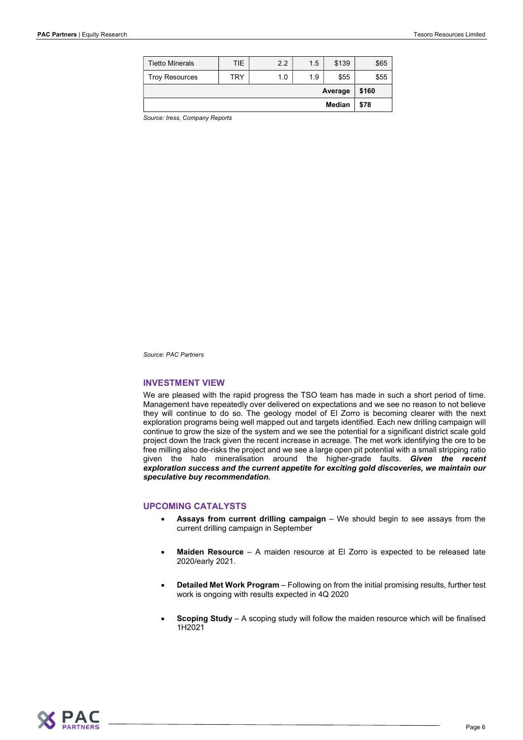| Median                 |     |     | \$78 |       |       |
|------------------------|-----|-----|------|-------|-------|
| Average                |     |     |      |       | \$160 |
| <b>Troy Resources</b>  | TRY | 1.0 | 1.9  | \$55  | \$55  |
| <b>Tietto Minerals</b> | TIE | 2.2 | 1.5  | \$139 | \$65  |

Source: Iress, Company Reports

Source: PAC Partners

#### INVESTMENT VIEW

We are pleased with the rapid progress the TSO team has made in such a short period of time. Management have repeatedly over delivered on expectations and we see no reason to not believe they will continue to do so. The geology model of El Zorro is becoming clearer with the next exploration programs being well mapped out and targets identified. Each new drilling campaign will continue to grow the size of the system and we see the potential for a significant district scale gold project down the track given the recent increase in acreage. The met work identifying the ore to be free milling also de-risks the project and we see a large open pit potential with a small stripping ratio given the halo mineralisation around the higher-grade faults. Given the recent exploration success and the current appetite for exciting gold discoveries, we maintain our speculative buy recommendation.

## UPCOMING CATALYSTS

- Assays from current drilling campaign We should begin to see assays from the current drilling campaign in September
- Maiden Resource A maiden resource at El Zorro is expected to be released late 2020/early 2021.
- Detailed Met Work Program Following on from the initial promising results, further test work is ongoing with results expected in 4Q 2020
- Scoping Study A scoping study will follow the maiden resource which will be finalised 1H2021

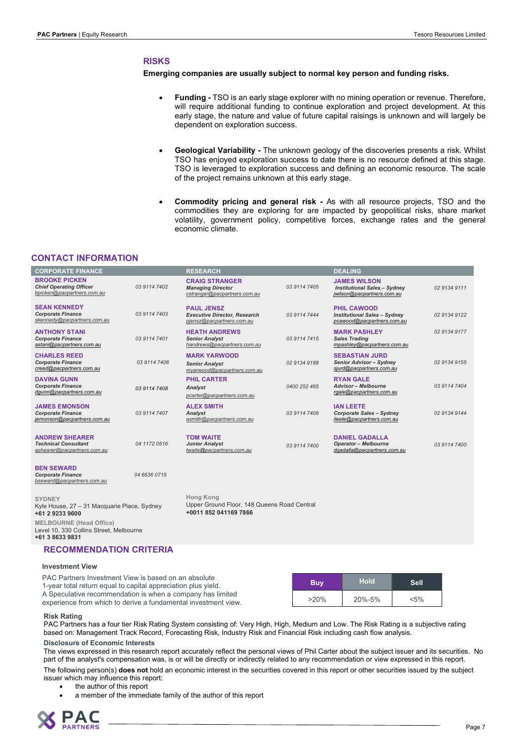# RISKS

#### Emerging companies are usually subject to normal key person and funding risks.

- Funding TSO is an early stage explorer with no mining operation or revenue. Therefore, will require additional funding to continue exploration and project development. At this early stage, the nature and value of future capital raisings is unknown and will largely be dependent on exploration success.
- Geological Variability The unknown geology of the discoveries presents a risk. Whilst TSO has enjoyed exploration success to date there is no resource defined at this stage. TSO is leveraged to exploration success and defining an economic resource. The scale of the project remains unknown at this early stage.
- Commodity pricing and general risk As with all resource projects, TSO and the commodities they are exploring for are impacted by geopolitical risks, share market volatility, government policy, competitive forces, exchange rates and the general economic climate.

# CONTACT INFORMATION

| <b>CORPORATE FINANCE</b>                                                             |              | <b>RESEARCH</b>                                                                          |              | <b>DEALING</b>                                                                           |              |
|--------------------------------------------------------------------------------------|--------------|------------------------------------------------------------------------------------------|--------------|------------------------------------------------------------------------------------------|--------------|
| <b>BROOKE PICKEN</b><br><b>Chief Operating Officer</b><br>bpicken@pacpartners.com.au | 03 9114 7402 | <b>CRAIG STRANGER</b><br><b>Managing Director</b><br>cstranger@pacpartners.com.au        | 03 9114 7405 | <b>JAMES WILSON</b><br><b>Institutional Sales.- Sydney</b><br>jwilson@pacpartners.com.au | 02 9134 9111 |
| <b>SEAN KENNEDY</b><br><b>Corporate Finance</b><br>skennedy@pacpartners.com.au       | 03 9114 7403 | <b>PAUL JENSZ</b><br><b>Executive Director, Research</b><br>pjensz@pacpartners.com.au    | 03 9114 7444 | <b>PHIL CAWOOD</b><br><b>Institutional Sales - Svdnev</b><br>pcawood@pacpartners.com.au  | 02 9134 9122 |
| <b>ANTHONY STANI</b><br><b>Corporate Finance</b><br>astani@pacpartners.com.au        | 03 9114 7401 | <b>HEATH ANDREWS</b><br><b>Senior Analyst</b><br>handrews@pacpartners.com.au             | 03 9114 7415 | <b>MARK PASHLEY</b><br><b>Sales Trading</b><br>mpashley@pacpartners.com.au               | 02 9134 9177 |
| <b>CHARLES REED</b><br><b>Corporate Finance</b><br>creed@pacpartners.com.au          | 03 9114 7406 | <b>MARK YARWOOD</b><br><b>Senior Analyst</b><br>myarwood@pacpartners.com.au              | 02 9134 9188 | <b>SEBASTIAN JURD</b><br>Senior Advisor - Sydney<br>sjurd@pacpartners.com.au             | 02 9134 9155 |
| <b>DAVINA GUNN</b><br><b>Corporate Finance</b><br>dgunn@pacpartners.com.au           | 03 9114 7408 | <b>PHIL CARTER</b><br>Analyst<br>pcarter@pacpartners.com.au                              | 0400 252 465 | <b>RYAN GALE</b><br><b>Advisor - Melbourne</b><br>rgale@pacpartners.com.au               | 03 9114 7404 |
| <b>JAMES EMONSON</b><br><b>Corporate Finance</b><br>jemonson@pacpartners.com.au      | 03 9114 7407 | <b>ALEX SMITH</b><br><b>Analvst</b><br>asmith@pacpartners.com.au                         | 03 9114 7408 | <b>IAN LEETE</b><br><b>Corporate Sales - Sydney</b><br>ileete@pacpartners.com.au         | 02 9134 9144 |
| <b>ANDREW SHEARER</b><br><b>Technical Consultant</b><br>ashearer@pacpartners.com.au  | 04 1172 0516 | <b>TOM WAITE</b><br><b>Junior Analyst</b><br>twaite@pacpartners.com.au                   | 03 9114 7400 | <b>DANIEL GADALLA</b><br><b>Operator - Melbourne</b><br>dgadalla@pacpartners.com.au      | 03 9114 7400 |
| <b>BEN SEWARD</b><br><b>Corporate Finance</b><br>bseward@pacpartners.com.au          | 04 6636 0715 |                                                                                          |              |                                                                                          |              |
| <b>SYDNEY</b><br>Kyle House, 27 - 31 Macquarie Place, Sydney<br>+61 2 9233 9600      |              | <b>Hong Kong</b><br>Upper Ground Floor, 148 Queens Road Central<br>+0011 852 041169 7866 |              |                                                                                          |              |
| <b>MELBOURNE</b> (Head Office)<br>Level 10, 330 Collins Street, Melbourne            |              |                                                                                          |              |                                                                                          |              |

+61 3 8633 9831 RECOMMENDATION CRITERIA

#### Investment View

| PAC Partners Investment View is based on an absolute<br>1-year total return equal to capital appreciation plus yield. | <b>Buy</b> | <b>Hold</b>  | <b>Sell</b> |
|-----------------------------------------------------------------------------------------------------------------------|------------|--------------|-------------|
| A Speculative recommendation is when a company has limited                                                            |            |              |             |
| experience from which to derive a fundamental investment view.                                                        | $>20\%$    | $20\% - 5\%$ | $< 5\%$     |

#### Risk Rating

PAC Partners has a four tier Risk Rating System consisting of: Very High, High, Medium and Low. The Risk Rating is a subjective rating based on: Management Track Record, Forecasting Risk, Industry Risk and Financial Risk including cash flow analysis.

#### Disclosure of Economic Interests

The views expressed in this research report accurately reflect the personal views of Phil Carter about the subject issuer and its securities. No part of the analyst's compensation was, is or will be directly or indirectly related to any recommendation or view expressed in this report.

The following person(s) does not hold an economic interest in the securities covered in this report or other securities issued by the subject issuer which may influence this report:

- the author of this report
- a member of the immediate family of the author of this report